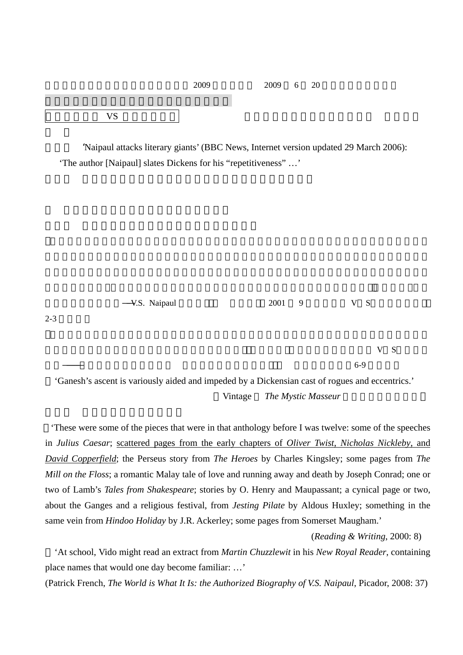|            | 2009 | 2009 | 6 | - 20 |  |  |
|------------|------|------|---|------|--|--|
|            |      |      |   |      |  |  |
| <b>17C</b> |      |      |   |      |  |  |

 $2 - 3$ 

'Naipaul attacks literary giants' (BBC News, Internet version updated 29 March 2006): 'The author [Naipaul] slates Dickens for his "repetitiveness" …'

蒙のあとに来るもの――V.S. Naipaul の視点」『英語青年』 2001 9 月号[特集 V S・ナイポール] ルはディケンズ的手法を用いることで作品を書けた。(栂正行「『ビスワス氏の家』の V S・ナイポ

 $6-9$ 

'Ganesh's ascent is variously aided and impeded by a Dickensian cast of rogues and eccentrics.' Vintage *The Mystic Masseur* 

'These were some of the pieces that were in that anthology before I was twelve: some of the speeches in *Julius Caesar*; scattered pages from the early chapters of *Oliver Twist*, *Nicholas Nickleby*, and *David Copperfield*; the Perseus story from *The Heroes* by Charles Kingsley; some pages from *The Mill on the Floss*; a romantic Malay tale of love and running away and death by Joseph Conrad; one or two of Lamb's *Tales from Shakespeare*; stories by O. Henry and Maupassant; a cynical page or two, about the Ganges and a religious festival, from *Jesting Pilate* by Aldous Huxley; something in the same vein from *Hindoo Holiday* by J.R. Ackerley; some pages from Somerset Maugham.'

(*Reading & Writing*, 2000: 8)

'At school, Vido might read an extract from *Martin Chuzzlewit* in his *New Royal Reader*, containing place names that would one day become familiar: …'

(Patrick French, *The World is What It Is: the Authorized Biography of V.S. Naipaul*, Picador, 2008: 37)